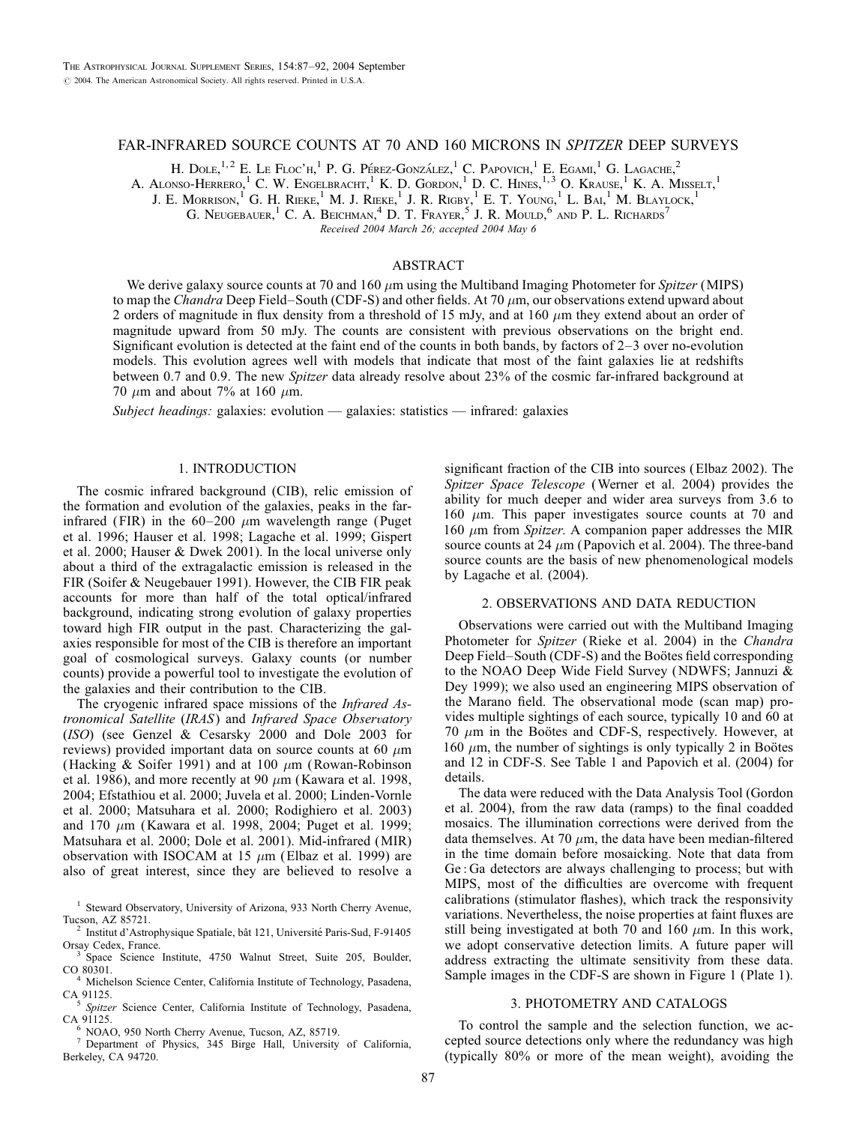# FAR-INFRARED SOURCE COUNTS AT 70 AND 160 MICRONS IN SPITZER DEEP SURVEYS

H. Dole,  $^{1,2}$  E. Le Floc'h, <sup>1</sup> P. G. Pérez-González, <sup>1</sup> C. Papovich, <sup>1</sup> E. Egami, <sup>1</sup> G. Lagache, <sup>2</sup>

A. ALONSO-HERRERO,<sup>1</sup> C. W. ENGELBRACHT,<sup>1</sup> K. D. GORDON,<sup>1</sup> D. C. HINES,<sup>1,3</sup> O. KRAUSE,<sup>1</sup> K. A. MISSELT,<sup>1</sup>

J. E. MORRISON,<sup>1</sup> G. H. RIEKE,<sup>1</sup> M. J. RIEKE,<sup>1</sup> J. R. RIGBY,<sup>1</sup> E. T. YOUNG,<sup>1</sup> L. Bal,<sup>1</sup> M. BLAYLOCK,<sup>1</sup>

G. Neugebauer,<sup>1</sup> C. A. Beichman,<sup>4</sup> D. T. Frayer,<sup>5</sup> J. R. Mould,<sup>6</sup> and P. L. Richards<sup>7</sup>

Received 2004 March 26; accepted 2004 May 6

## ABSTRACT

We derive galaxy source counts at 70 and 160  $\mu$ m using the Multiband Imaging Photometer for Spitzer (MIPS) to map the Chandra Deep Field–South (CDF-S) and other fields. At 70  $\mu$ m, our observations extend upward about 2 orders of magnitude in flux density from a threshold of 15 mJy, and at 160  $\mu$ m they extend about an order of magnitude upward from 50 mJy. The counts are consistent with previous observations on the bright end. Significant evolution is detected at the faint end of the counts in both bands, by factors of 2–3 over no-evolution models. This evolution agrees well with models that indicate that most of the faint galaxies lie at redshifts between 0.7 and 0.9. The new Spitzer data already resolve about 23% of the cosmic far-infrared background at 70  $\mu$ m and about 7% at 160  $\mu$ m.

Subject headings: galaxies: evolution — galaxies: statistics — infrared: galaxies

# 1. INTRODUCTION

The cosmic infrared background (CIB), relic emission of the formation and evolution of the galaxies, peaks in the farinfrared (FIR) in the  $60-200 \mu m$  wavelength range (Puget et al. 1996; Hauser et al. 1998; Lagache et al. 1999; Gispert et al. 2000; Hauser & Dwek 2001). In the local universe only about a third of the extragalactic emission is released in the FIR (Soifer & Neugebauer 1991). However, the CIB FIR peak accounts for more than half of the total optical/infrared background, indicating strong evolution of galaxy properties toward high FIR output in the past. Characterizing the galaxies responsible for most of the CIB is therefore an important goal of cosmological surveys. Galaxy counts (or number counts) provide a powerful tool to investigate the evolution of the galaxies and their contribution to the CIB.

The cryogenic infrared space missions of the Infrared Astronomical Satellite (IRAS) and Infrared Space Observatory (ISO) (see Genzel & Cesarsky 2000 and Dole 2003 for reviews) provided important data on source counts at 60  $\mu$ m (Hacking & Soifer 1991) and at 100  $\mu$ m (Rowan-Robinson et al. 1986), and more recently at 90  $\mu$ m (Kawara et al. 1998, 2004; Efstathiou et al. 2000; Juvela et al. 2000; Linden-Vornle et al. 2000; Matsuhara et al. 2000; Rodighiero et al. 2003) and 170  $\mu$ m (Kawara et al. 1998, 2004; Puget et al. 1999; Matsuhara et al. 2000; Dole et al. 2001). Mid-infrared (MIR) observation with ISOCAM at 15  $\mu$ m (Elbaz et al. 1999) are also of great interest, since they are believed to resolve a

<sup>4</sup> Michelson Science Center, California Institute of Technology, Pasadena,

CA 91125.<br><sup>5</sup> Spitzer Science Center, California Institute of Technology, Pasadena, CA 91125.

 $6$  NOAO, 950 North Cherry Avenue, Tucson, AZ, 85719.<br><sup>7</sup> Department of Physics, 345 Birge Hall, University of California, Berkeley, CA 94720.

significant fraction of the CIB into sources (Elbaz 2002). The Spitzer Space Telescope (Werner et al. 2004) provides the ability for much deeper and wider area surveys from 3.6 to 160  $\mu$ m. This paper investigates source counts at 70 and 160  $\mu$ m from Spitzer. A companion paper addresses the MIR source counts at 24  $\mu$ m (Papovich et al. 2004). The three-band source counts are the basis of new phenomenological models by Lagache et al. (2004).

## 2. OBSERVATIONS AND DATA REDUCTION

Observations were carried out with the Multiband Imaging Photometer for Spitzer (Rieke et al. 2004) in the Chandra Deep Field–South (CDF-S) and the Boötes field corresponding to the NOAO Deep Wide Field Survey (NDWFS; Jannuzi & Dey 1999); we also used an engineering MIPS observation of the Marano field. The observational mode (scan map) provides multiple sightings of each source, typically 10 and 60 at 70  $\mu$ m in the Boötes and CDF-S, respectively. However, at 160  $\mu$ m, the number of sightings is only typically 2 in Boötes and 12 in CDF-S. See Table 1 and Papovich et al. (2004) for details.

The data were reduced with the Data Analysis Tool (Gordon et al. 2004), from the raw data (ramps) to the final coadded mosaics. The illumination corrections were derived from the data themselves. At 70  $\mu$ m, the data have been median-filtered in the time domain before mosaicking. Note that data from Ge : Ga detectors are always challenging to process; but with MIPS, most of the difficulties are overcome with frequent calibrations (stimulator flashes), which track the responsivity variations. Nevertheless, the noise properties at faint fluxes are still being investigated at both 70 and 160  $\mu$ m. In this work, we adopt conservative detection limits. A future paper will address extracting the ultimate sensitivity from these data. Sample images in the CDF-S are shown in Figure 1 (Plate 1).

## 3. PHOTOMETRY AND CATALOGS

To control the sample and the selection function, we accepted source detections only where the redundancy was high (typically 80% or more of the mean weight), avoiding the

<sup>&</sup>lt;sup>1</sup> Steward Observatory, University of Arizona, 933 North Cherry Avenue,

Tucson, AZ 85721.<br><sup>2</sup> Institut d'Astrophysique Spatiale, bât 121, Université Paris-Sud, F-91405<br>Orsay Cedex, France.

 $\frac{3}{5}$  Space Science Institute, 4750 Walnut Street, Suite 205, Boulder, CO 80301.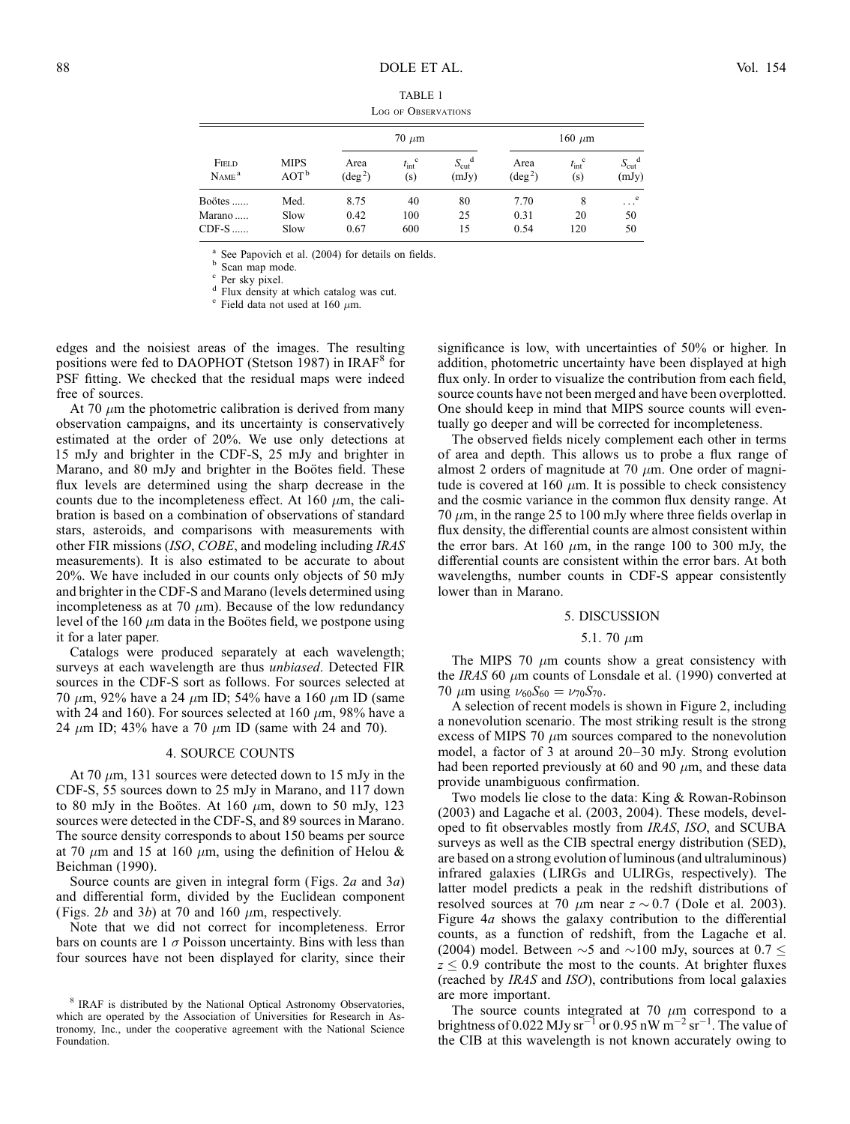| <b>TABLE 1</b>      |  |
|---------------------|--|
| LOG OF OBSERVATIONS |  |

| FIELD<br>$N$ AME $a$ | <b>MIPS</b><br>AOT <sup>b</sup> | $70 \mu m$               |                              |                                      | 160 $\mu$ m              |                              |                        |
|----------------------|---------------------------------|--------------------------|------------------------------|--------------------------------------|--------------------------|------------------------------|------------------------|
|                      |                                 | Area<br>$(\text{deg}^2)$ | $t_{\rm int}^{\rm c}$<br>(s) | $S_{\text{cut}}^{\text{d}}$<br>(mJy) | Area<br>$(\text{deg}^2)$ | $t_{\rm int}^{\rm c}$<br>(s) | $S_{\rm cut}$<br>(mJy) |
| Boötes               | Med.                            | 8.75                     | 40                           | 80                                   | 7.70                     | 8                            | e<br>.                 |
| Marano               | Slow                            | 0.42                     | 100                          | 25                                   | 0.31                     | 20                           | 50                     |
| $CDF-S$              | Slow                            | 0.67                     | 600                          | 15                                   | 0.54                     | 120                          | 50                     |

<sup>a</sup> See Papovich et al. (2004) for details on fields.<br><sup>b</sup> Scan map mode.<br>c Per sky pixel.<br>d Flux density at which catalog was cut.<br>e Field data not used at 160  $\mu$ m.

edges and the noisiest areas of the images. The resulting positions were fed to DAOPHOT (Stetson 1987) in IRAF<sup>8</sup> for PSF fitting. We checked that the residual maps were indeed free of sources.

At 70  $\mu$ m the photometric calibration is derived from many observation campaigns, and its uncertainty is conservatively estimated at the order of 20%. We use only detections at 15 mJy and brighter in the CDF-S, 25 mJy and brighter in Marano, and 80 mJy and brighter in the Boötes field. These flux levels are determined using the sharp decrease in the counts due to the incompleteness effect. At 160  $\mu$ m, the calibration is based on a combination of observations of standard stars, asteroids, and comparisons with measurements with other FIR missions (ISO, COBE, and modeling including IRAS measurements). It is also estimated to be accurate to about 20%. We have included in our counts only objects of 50 mJy and brighter in the CDF-S and Marano (levels determined using incompleteness as at 70  $\mu$ m). Because of the low redundancy level of the 160  $\mu$ m data in the Boötes field, we postpone using it for a later paper.

Catalogs were produced separately at each wavelength; surveys at each wavelength are thus unbiased. Detected FIR sources in the CDF-S sort as follows. For sources selected at 70  $\mu$ m, 92% have a 24  $\mu$ m ID; 54% have a 160  $\mu$ m ID (same with 24 and 160). For sources selected at 160  $\mu$ m, 98% have a 24  $\mu$ m ID; 43% have a 70  $\mu$ m ID (same with 24 and 70).

## 4. SOURCE COUNTS

At 70  $\mu$ m, 131 sources were detected down to 15 mJy in the CDF-S, 55 sources down to 25 mJy in Marano, and 117 down to 80 mJy in the Boötes. At 160  $\mu$ m, down to 50 mJy, 123 sources were detected in the CDF-S, and 89 sources in Marano. The source density corresponds to about 150 beams per source at 70  $\mu$ m and 15 at 160  $\mu$ m, using the definition of Helou & Beichman (1990).

Source counts are given in integral form (Figs.  $2a$  and  $3a$ ) and differential form, divided by the Euclidean component (Figs. 2b and 3b) at 70 and 160  $\mu$ m, respectively.

Note that we did not correct for incompleteness. Error bars on counts are  $1 \sigma$  Poisson uncertainty. Bins with less than four sources have not been displayed for clarity, since their significance is low, with uncertainties of 50% or higher. In addition, photometric uncertainty have been displayed at high flux only. In order to visualize the contribution from each field, source counts have not been merged and have been overplotted. One should keep in mind that MIPS source counts will eventually go deeper and will be corrected for incompleteness.

The observed fields nicely complement each other in terms of area and depth. This allows us to probe a flux range of almost 2 orders of magnitude at 70  $\mu$ m. One order of magnitude is covered at 160  $\mu$ m. It is possible to check consistency and the cosmic variance in the common flux density range. At 70  $\mu$ m, in the range 25 to 100 mJy where three fields overlap in flux density, the differential counts are almost consistent within the error bars. At 160  $\mu$ m, in the range 100 to 300 mJy, the differential counts are consistent within the error bars. At both wavelengths, number counts in CDF-S appear consistently lower than in Marano.

#### 5. DISCUSSION

# 5.1. 70  $\mu$ m

The MIPS 70  $\mu$ m counts show a great consistency with the IRAS 60  $\mu$ m counts of Lonsdale et al. (1990) converted at 70  $\mu$ m using  $\nu_{60}S_{60} = \nu_{70}S_{70}$ .

A selection of recent models is shown in Figure 2, including a nonevolution scenario. The most striking result is the strong excess of MIPS 70  $\mu$ m sources compared to the nonevolution model, a factor of 3 at around 20–30 mJy. Strong evolution had been reported previously at 60 and 90  $\mu$ m, and these data provide unambiguous confirmation.

Two models lie close to the data: King & Rowan-Robinson (2003) and Lagache et al. (2003, 2004). These models, developed to fit observables mostly from IRAS, ISO, and SCUBA surveys as well as the CIB spectral energy distribution (SED), are based on a strong evolution of luminous (and ultraluminous) infrared galaxies (LIRGs and ULIRGs, respectively). The latter model predicts a peak in the redshift distributions of resolved sources at 70  $\mu$ m near  $z \sim 0.7$  (Dole et al. 2003). Figure 4a shows the galaxy contribution to the differential counts, as a function of redshift, from the Lagache et al. (2004) model. Between  $\sim$ 5 and  $\sim$ 100 mJy, sources at 0.7  $\le$  $z \leq 0.9$  contribute the most to the counts. At brighter fluxes (reached by IRAS and ISO), contributions from local galaxies are more important.

The source counts integrated at 70  $\mu$ m correspond to a brightness of 0.022 MJy sr<sup>-1</sup> or 0.95 nW m<sup>-2</sup> sr<sup>-1</sup>. The value of the CIB at this wavelength is not known accurately owing to

<sup>&</sup>lt;sup>8</sup> IRAF is distributed by the National Optical Astronomy Observatories, which are operated by the Association of Universities for Research in Astronomy, Inc., under the cooperative agreement with the National Science Foundation.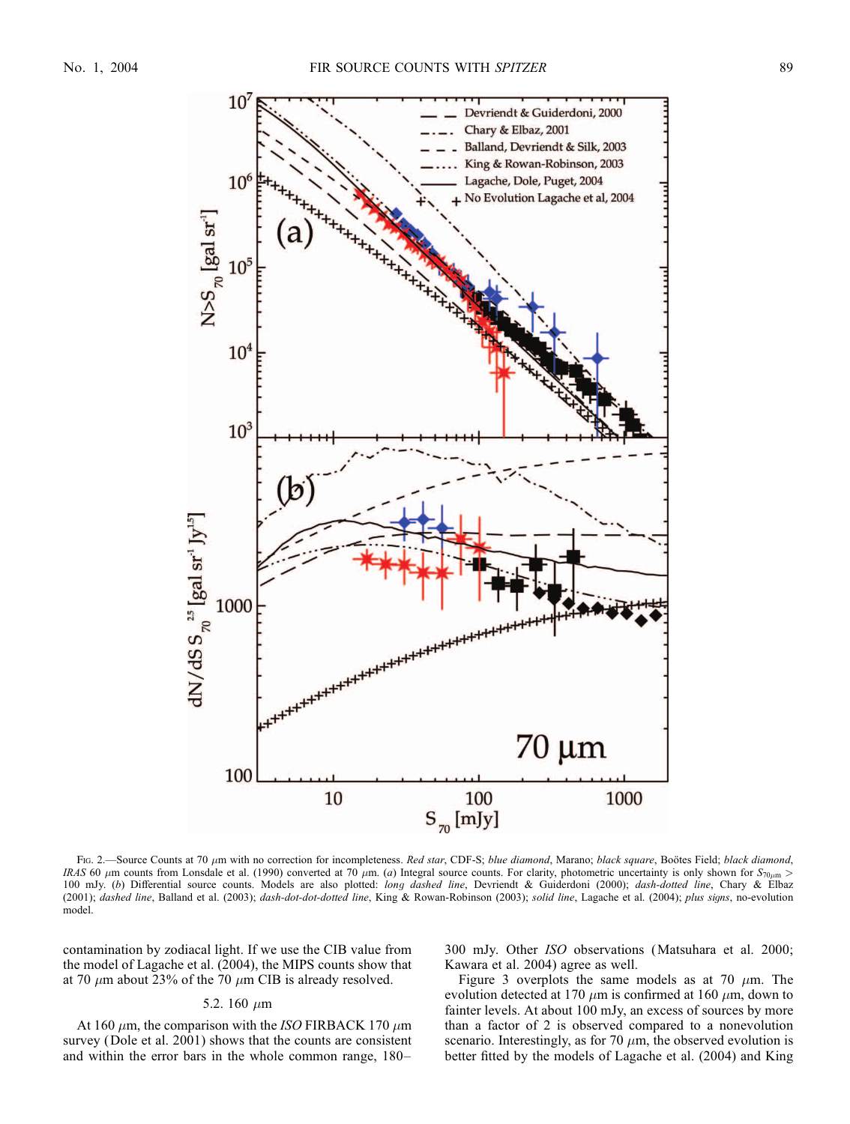

FIG. 2.—Source Counts at 70  $\mu$ m with no correction for incompleteness. Red star, CDF-S; blue diamond, Marano; black square, Boötes Field; black diamond, IRAS 60  $\mu$ m counts from Lonsdale et al. (1990) converted at 70  $\mu$ m. (a) Integral source counts. For clarity, photometric uncertainty is only shown for  $S_{70\mu m}$ 100 mJy. (b) Differential source counts. Models are also plotted: long dashed line, Devriendt & Guiderdoni (2000); dash-dotted line, Chary & Elbaz (2001); dashed line, Balland et al. (2003); dash-dot-dotted line, King & Rowan-Robinson (2003); solid line, Lagache et al. (2004); plus signs, no-evolution model.

contamination by zodiacal light. If we use the CIB value from the model of Lagache et al. (2004), the MIPS counts show that at 70  $\mu$ m about 23% of the 70  $\mu$ m CIB is already resolved.

## 5.2. 160  $\mu$ m

At 160  $\mu$ m, the comparison with the ISO FIRBACK 170  $\mu$ m survey (Dole et al. 2001) shows that the counts are consistent and within the error bars in the whole common range, 180–

300 mJy. Other ISO observations (Matsuhara et al. 2000; Kawara et al. 2004) agree as well.

Figure 3 overplots the same models as at 70  $\mu$ m. The evolution detected at 170  $\mu$ m is confirmed at 160  $\mu$ m, down to fainter levels. At about 100 mJy, an excess of sources by more than a factor of 2 is observed compared to a nonevolution scenario. Interestingly, as for 70  $\mu$ m, the observed evolution is better fitted by the models of Lagache et al. (2004) and King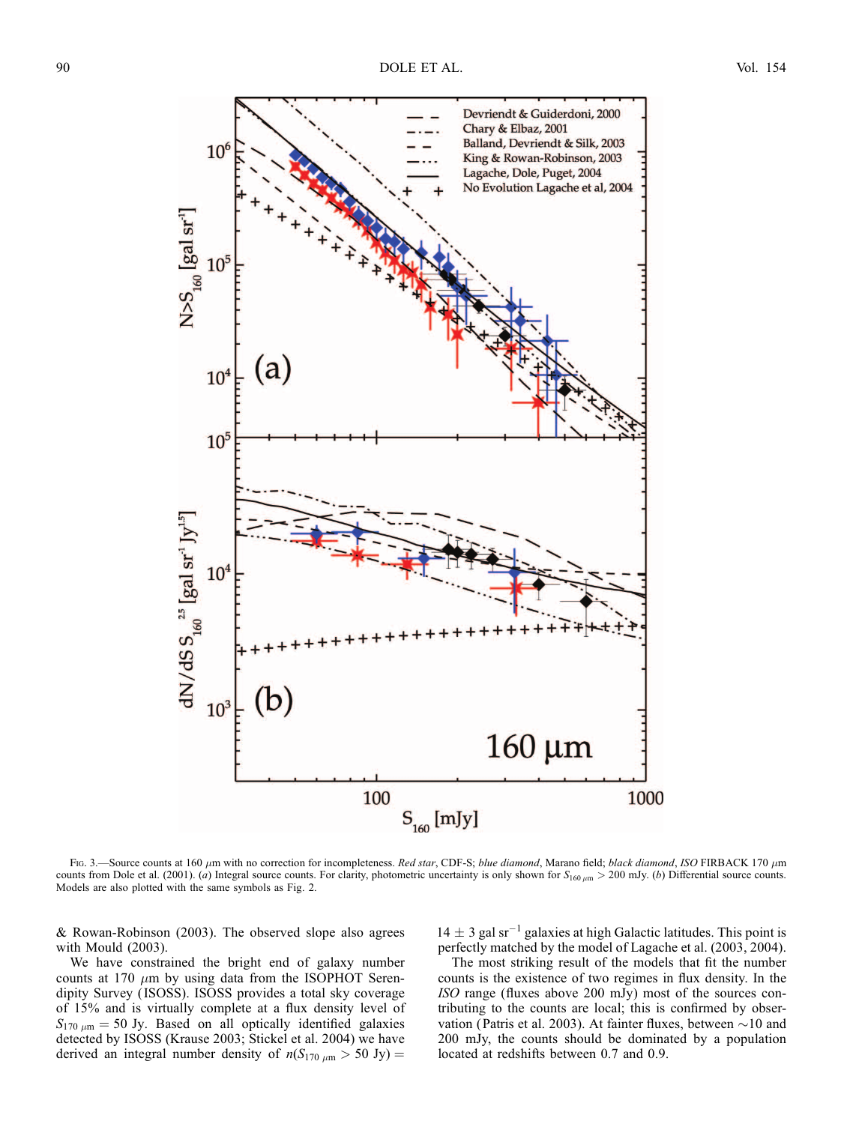

FIG. 3.—Source counts at 160  $\mu$ m with no correction for incompleteness. Red star, CDF-S; blue diamond, Marano field; black diamond, ISO FIRBACK 170  $\mu$ m counts from Dole et al. (2001). (a) Integral source counts. For clarity, photometric uncertainty is only shown for  $S_{160 \mu m} > 200$  mJy. (b) Differential source counts. Models are also plotted with the same symbols as Fig. 2.

& Rowan-Robinson (2003). The observed slope also agrees with Mould (2003).

We have constrained the bright end of galaxy number counts at 170  $\mu$ m by using data from the ISOPHOT Serendipity Survey ( ISOSS). ISOSS provides a total sky coverage of 15% and is virtually complete at a flux density level of  $S_{170 \mu m} = 50 \text{ Jy}$ . Based on all optically identified galaxies detected by ISOSS (Krause 2003; Stickel et al. 2004) we have derived an integral number density of  $n(S_{170 \mu m} > 50 \text{ Jy}) =$ 

 $14 \pm 3$  gal sr<sup>-1</sup> galaxies at high Galactic latitudes. This point is perfectly matched by the model of Lagache et al. (2003, 2004).

The most striking result of the models that fit the number counts is the existence of two regimes in flux density. In the ISO range (fluxes above 200 mJy) most of the sources contributing to the counts are local; this is confirmed by observation (Patris et al. 2003). At fainter fluxes, between  $\sim$ 10 and 200 mJy, the counts should be dominated by a population located at redshifts between 0.7 and 0.9.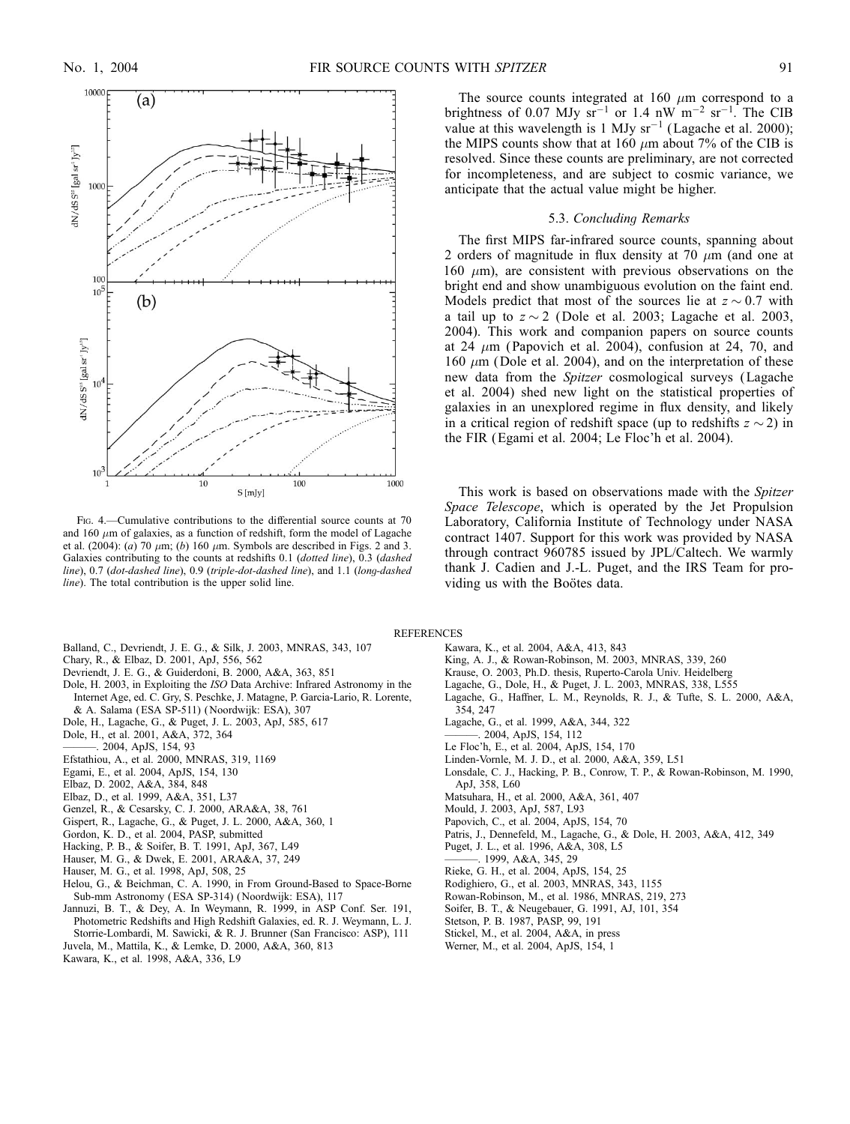

Fig. 4.—Cumulative contributions to the differential source counts at 70 and 160  $\mu$ m of galaxies, as a function of redshift, form the model of Lagache et al. (2004): (a) 70  $\mu$ m; (b) 160  $\mu$ m. Symbols are described in Figs. 2 and 3. Galaxies contributing to the counts at redshifts 0.1 (dotted line), 0.3 (dashed line), 0.7 (dot-dashed line), 0.9 (triple-dot-dashed line), and 1.1 (long-dashed line). The total contribution is the upper solid line.

- Balland, C., Devriendt, J. E. G., & Silk, J. 2003, MNRAS, 343, 107
- Chary, R., & Elbaz, D. 2001, ApJ, 556, 562
- Devriendt, J. E. G., & Guiderdoni, B. 2000, A&A, 363, 851
- Dole, H. 2003, in Exploiting the ISO Data Archive: Infrared Astronomy in the Internet Age, ed. C. Gry, S. Peschke, J. Matagne, P. Garcia-Lario, R. Lorente,
- & A. Salama ( ESA SP-511) (Noordwijk: ESA), 307
- Dole, H., Lagache, G., & Puget, J. L. 2003, ApJ, 585, 617
- Dole, H., et al. 2001, A&A, 372, 364
- ———. 2004, ApJS, 154, 93
- Efstathiou, A., et al. 2000, MNRAS, 319, 1169
- Egami, E., et al. 2004, ApJS, 154, 130
- Elbaz, D. 2002, A&A, 384, 848
- Elbaz, D., et al. 1999, A&A, 351, L37
- Genzel, R., & Cesarsky, C. J. 2000, ARA&A, 38, 761
- Gispert, R., Lagache, G., & Puget, J. L. 2000, A&A, 360, 1
- Gordon, K. D., et al. 2004, PASP, submitted
- Hacking, P. B., & Soifer, B. T. 1991, ApJ, 367, L49
- Hauser, M. G., & Dwek, E. 2001, ARA&A, 37, 249
- Hauser, M. G., et al. 1998, ApJ, 508, 25
- Helou, G., & Beichman, C. A. 1990, in From Ground-Based to Space-Borne Sub-mm Astronomy ( ESA SP-314) ( Noordwijk: ESA), 117
- Jannuzi, B. T., & Dey, A. In Weymann, R. 1999, in ASP Conf. Ser. 191, Photometric Redshifts and High Redshift Galaxies, ed. R. J. Weymann, L. J. Storrie-Lombardi, M. Sawicki, & R. J. Brunner (San Francisco: ASP), 111
- Juvela, M., Mattila, K., & Lemke, D. 2000, A&A, 360, 813 Kawara, K., et al. 1998, A&A, 336, L9

The source counts integrated at 160  $\mu$ m correspond to a brightness of 0.07 MJy  $sr^{-1}$  or 1.4 nW  $m^{-2}$   $sr^{-1}$ . The CIB value at this wavelength is 1 MJy  $sr^{-1}$  (Lagache et al. 2000); the MIPS counts show that at 160  $\mu$ m about 7% of the CIB is resolved. Since these counts are preliminary, are not corrected for incompleteness, and are subject to cosmic variance, we anticipate that the actual value might be higher.

## 5.3. Concluding Remarks

The first MIPS far-infrared source counts, spanning about 2 orders of magnitude in flux density at 70  $\mu$ m (and one at 160  $\mu$ m), are consistent with previous observations on the bright end and show unambiguous evolution on the faint end. Models predict that most of the sources lie at  $z \sim 0.7$  with a tail up to  $z \sim 2$  (Dole et al. 2003; Lagache et al. 2003, 2004). This work and companion papers on source counts at 24  $\mu$ m (Papovich et al. 2004), confusion at 24, 70, and 160  $\mu$ m (Dole et al. 2004), and on the interpretation of these new data from the Spitzer cosmological surveys (Lagache et al. 2004) shed new light on the statistical properties of galaxies in an unexplored regime in flux density, and likely in a critical region of redshift space (up to redshifts  $z \sim 2$ ) in the FIR (Egami et al. 2004; Le Floc'h et al. 2004).

This work is based on observations made with the Spitzer Space Telescope, which is operated by the Jet Propulsion Laboratory, California Institute of Technology under NASA contract 1407. Support for this work was provided by NASA through contract 960785 issued by JPL/Caltech. We warmly thank J. Cadien and J.-L. Puget, and the IRS Team for providing us with the Boötes data.

**REFERENCES** 

- Kawara, K., et al. 2004, A&A, 413, 843
	- King, A. J., & Rowan-Robinson, M. 2003, MNRAS, 339, 260
	- Krause, O. 2003, Ph.D. thesis, Ruperto-Carola Univ. Heidelberg
	- Lagache, G., Dole, H., & Puget, J. L. 2003, MNRAS, 338, L555
	- Lagache, G., Haffner, L. M., Reynolds, R. J., & Tufte, S. L. 2000, A&A, 354, 247
	- Lagache, G., et al. 1999, A&A, 344, 322
	- ———. 2004, ApJS, 154, 112
	- Le Floc'h, E., et al. 2004, ApJS, 154, 170
	- Linden-Vornle, M. J. D., et al. 2000, A&A, 359, L51
	- Lonsdale, C. J., Hacking, P. B., Conrow, T. P., & Rowan-Robinson, M. 1990, ApJ, 358, L60
	- Matsuhara, H., et al. 2000, A&A, 361, 407
	- Mould, J. 2003, ApJ, 587, L93
	- Papovich, C., et al. 2004, ApJS, 154, 70
	- Patris, J., Dennefeld, M., Lagache, G., & Dole, H. 2003, A&A, 412, 349
	- Puget, J. L., et al. 1996, A&A, 308, L5
	- ———. 1999, A&A, 345, 29
	- Rieke, G. H., et al. 2004, ApJS, 154, 25
	- Rodighiero, G., et al. 2003, MNRAS, 343, 1155
	- Rowan-Robinson, M., et al. 1986, MNRAS, 219, 273
- Soifer, B. T., & Neugebauer, G. 1991, AJ, 101, 354
- Stetson, P. B. 1987, PASP, 99, 191
- Stickel, M., et al. 2004, A&A, in press
- Werner, M., et al. 2004, ApJS, 154, 1